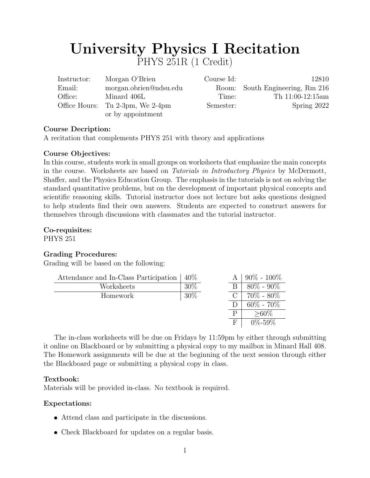# University Physics I Recitation PHYS 251R (1 Credit)

| Instructor: | Morgan O'Brien                   | Course Id: | 12810                           |
|-------------|----------------------------------|------------|---------------------------------|
| Email:      | morgan.obrien@ndsu.edu           |            | Room: South Engineering, Rm 216 |
| Office:     | Minard 406L                      | Time:      | Th $11:00-12:15am$              |
|             | Office Hours: Tu 2-3pm, We 2-4pm | Semester:  | Spring 2022                     |
|             | or by appointment                |            |                                 |

## Course Decription:

A recitation that complements PHYS 251 with theory and applications

## Course Objectives:

In this course, students work in small groups on worksheets that emphasize the main concepts in the course. Worksheets are based on *Tutorials in Introductory Physics* by McDermott, Shaffer, and the Physics Education Group. The emphasis in the tutorials is not on solving the standard quantitative problems, but on the development of important physical concepts and scientific reasoning skills. Tutorial instructor does not lecture but asks questions designed to help students find their own answers. Students are expected to construct answers for themselves through discussions with classmates and the tutorial instructor.

# Co-requisites:

PHYS 251

# Grading Procedures:

Grading will be based on the following:

| Attendance and In-Class Participation | $40\%$ |   | $90\% - 100\%$  |
|---------------------------------------|--------|---|-----------------|
| Worksheets                            | $30\%$ |   | $80\% - 90\%$   |
| Homework                              | $30\%$ |   | $70\% - 80\%$   |
|                                       |        |   | $60\%$ - $70\%$ |
|                                       |        | P | $>$ 60%         |
|                                       |        | F | $0\% - 59\%$    |

The in-class worksheets will be due on Fridays by 11:59pm by either through submitting it online on Blackboard or by submitting a physical copy to my mailbox in Minard Hall 408. The Homework assignments will be due at the beginning of the next session through either the Blackboard page or submitting a physical copy in class.

# Textbook:

Materials will be provided in-class. No textbook is required.

# Expectations:

- Attend class and participate in the discussions.
- Check Blackboard for updates on a regular basis.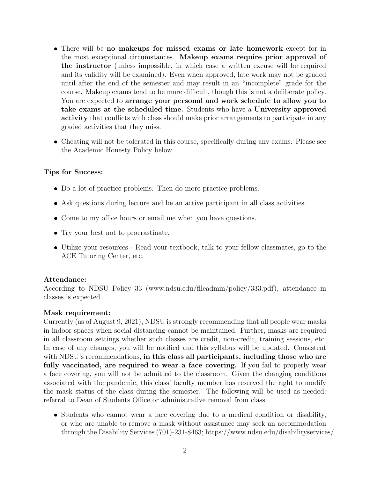- There will be no makeups for missed exams or late homework except for in the most exceptional circumstances. Makeup exams require prior approval of the instructor (unless impossible, in which case a written excuse will be required and its validity will be examined). Even when approved, late work may not be graded until after the end of the semester and may result in an "incomplete" grade for the course. Makeup exams tend to be more difficult, though this is not a deliberate policy. You are expected to arrange your personal and work schedule to allow you to take exams at the scheduled time. Students who have a University approved activity that conflicts with class should make prior arrangements to participate in any graded activities that they miss.
- Cheating will not be tolerated in this course, specifically during any exams. Please see the Academic Honesty Policy below.

#### Tips for Success:

- Do a lot of practice problems. Then do more practice problems.
- Ask questions during lecture and be an active participant in all class activities.
- Come to my office hours or email me when you have questions.
- Try your best not to procrastinate.
- Utilize your resources Read your textbook, talk to your fellow classmates, go to the ACE Tutoring Center, etc.

#### Attendance:

According to NDSU Policy 33 (www.ndsu.edu/fileadmin/policy/333.pdf), attendance in classes is expected.

#### Mask requirement:

Currently (as of August 9, 2021), NDSU is strongly recommending that all people wear masks in indoor spaces when social distancing cannot be maintained. Further, masks are required in all classroom settings whether such classes are credit, non-credit, training sessions, etc. In case of any changes, you will be notified and this syllabus will be updated. Consistent with NDSU's recommendations, in this class all participants, including those who are fully vaccinated, are required to wear a face covering. If you fail to properly wear a face covering, you will not be admitted to the classroom. Given the changing conditions associated with the pandemic, this class' faculty member has reserved the right to modify the mask status of the class during the semester. The following will be used as needed: referral to Dean of Students Office or administrative removal from class.

 Students who cannot wear a face covering due to a medical condition or disability, or who are unable to remove a mask without assistance may seek an accommodation through the Disability Services (701)-231-8463; https://www.ndsu.edu/disabilityservices/.